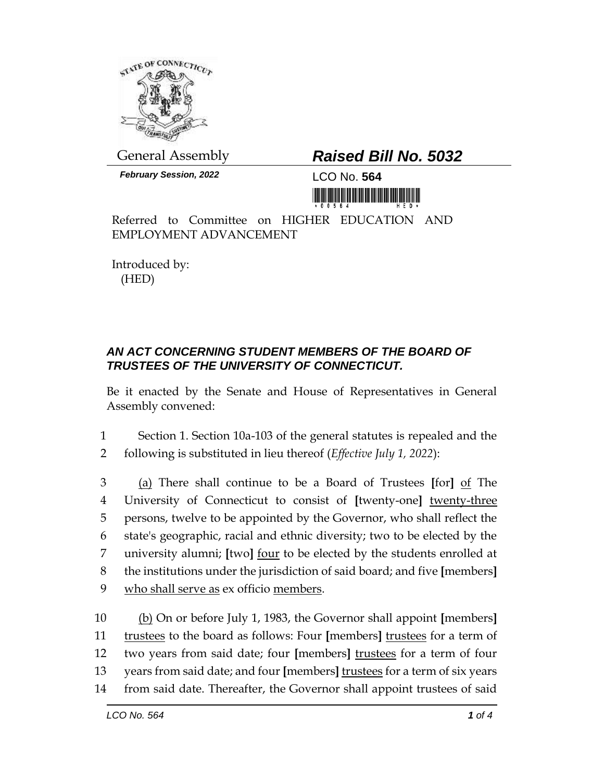

General Assembly *Raised Bill No. 5032*

*February Session, 2022* LCO No. **564**

<u> III di kacamatan ing Kabupatèn III di Kabupatèn III di Kabupatèn III di Kabupatèn III di Kabupatèn III di Ka</u>

Referred to Committee on HIGHER EDUCATION AND EMPLOYMENT ADVANCEMENT

Introduced by: (HED)

## *AN ACT CONCERNING STUDENT MEMBERS OF THE BOARD OF TRUSTEES OF THE UNIVERSITY OF CONNECTICUT.*

Be it enacted by the Senate and House of Representatives in General Assembly convened:

1 Section 1. Section 10a-103 of the general statutes is repealed and the 2 following is substituted in lieu thereof (*Effective July 1, 2022*):

 (a) There shall continue to be a Board of Trustees **[**for**]** of The University of Connecticut to consist of **[**twenty-one**]** twenty-three persons, twelve to be appointed by the Governor, who shall reflect the state's geographic, racial and ethnic diversity; two to be elected by the university alumni; **[**two**]** four to be elected by the students enrolled at the institutions under the jurisdiction of said board; and five **[**members**]** who shall serve as ex officio members.

 (b) On or before July 1, 1983, the Governor shall appoint **[**members**]** trustees to the board as follows: Four **[**members**]** trustees for a term of two years from said date; four **[**members**]** trustees for a term of four years from said date; and four **[**members**]** trustees for a term of six years from said date. Thereafter, the Governor shall appoint trustees of said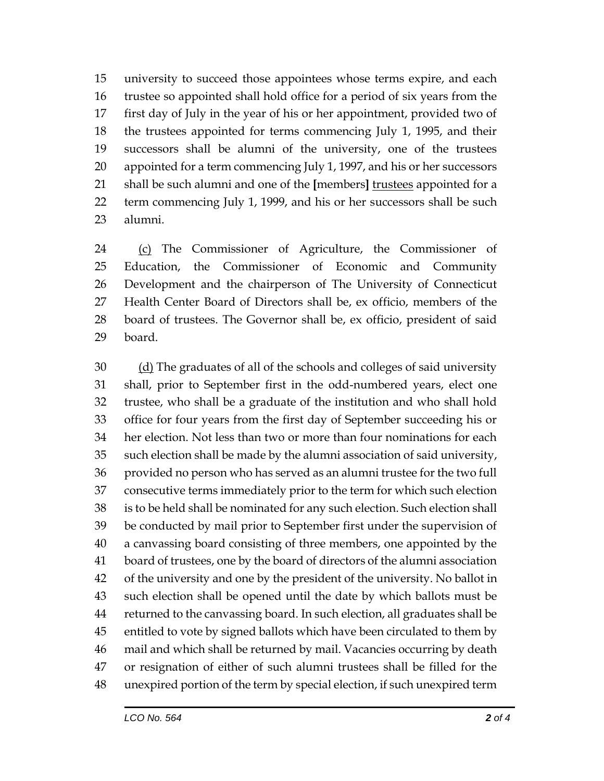university to succeed those appointees whose terms expire, and each trustee so appointed shall hold office for a period of six years from the first day of July in the year of his or her appointment, provided two of the trustees appointed for terms commencing July 1, 1995, and their successors shall be alumni of the university, one of the trustees appointed for a term commencing July 1, 1997, and his or her successors shall be such alumni and one of the **[**members**]** trustees appointed for a term commencing July 1, 1999, and his or her successors shall be such alumni.

 (c) The Commissioner of Agriculture, the Commissioner of Education, the Commissioner of Economic and Community Development and the chairperson of The University of Connecticut Health Center Board of Directors shall be, ex officio, members of the board of trustees. The Governor shall be, ex officio, president of said board.

 (d) The graduates of all of the schools and colleges of said university shall, prior to September first in the odd-numbered years, elect one trustee, who shall be a graduate of the institution and who shall hold office for four years from the first day of September succeeding his or her election. Not less than two or more than four nominations for each such election shall be made by the alumni association of said university, provided no person who has served as an alumni trustee for the two full consecutive terms immediately prior to the term for which such election is to be held shall be nominated for any such election. Such election shall be conducted by mail prior to September first under the supervision of a canvassing board consisting of three members, one appointed by the board of trustees, one by the board of directors of the alumni association of the university and one by the president of the university. No ballot in such election shall be opened until the date by which ballots must be returned to the canvassing board. In such election, all graduates shall be entitled to vote by signed ballots which have been circulated to them by mail and which shall be returned by mail. Vacancies occurring by death or resignation of either of such alumni trustees shall be filled for the unexpired portion of the term by special election, if such unexpired term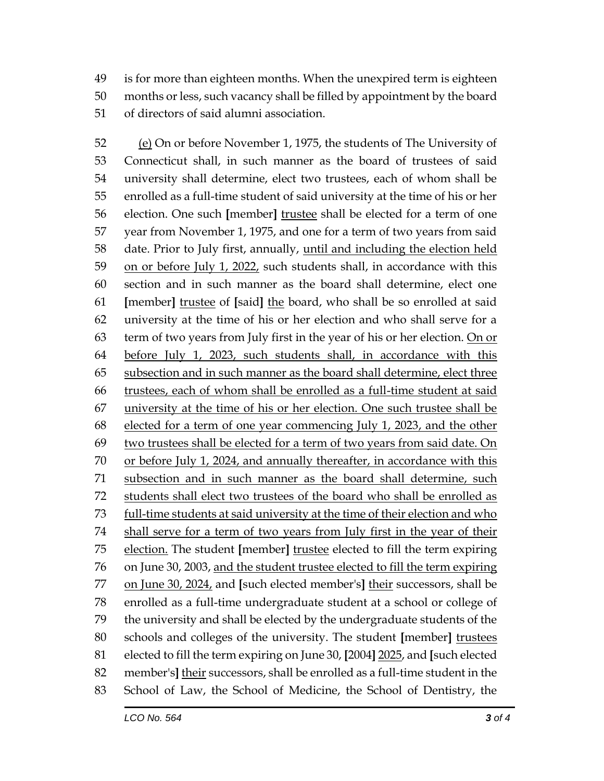is for more than eighteen months. When the unexpired term is eighteen months or less, such vacancy shall be filled by appointment by the board of directors of said alumni association.

 (e) On or before November 1, 1975, the students of The University of Connecticut shall, in such manner as the board of trustees of said university shall determine, elect two trustees, each of whom shall be enrolled as a full-time student of said university at the time of his or her election. One such **[**member**]** trustee shall be elected for a term of one year from November 1, 1975, and one for a term of two years from said date. Prior to July first, annually, until and including the election held on or before July 1, 2022, such students shall, in accordance with this section and in such manner as the board shall determine, elect one **[**member**]** trustee of **[**said**]** the board, who shall be so enrolled at said university at the time of his or her election and who shall serve for a 63 term of two years from July first in the year of his or her election. On or before July 1, 2023, such students shall, in accordance with this 65 subsection and in such manner as the board shall determine, elect three trustees, each of whom shall be enrolled as a full-time student at said university at the time of his or her election. One such trustee shall be elected for a term of one year commencing July 1, 2023, and the other 69 two trustees shall be elected for a term of two years from said date. On or before July 1, 2024, and annually thereafter, in accordance with this subsection and in such manner as the board shall determine, such students shall elect two trustees of the board who shall be enrolled as full-time students at said university at the time of their election and who shall serve for a term of two years from July first in the year of their election. The student **[**member**]** trustee elected to fill the term expiring on June 30, 2003, and the student trustee elected to fill the term expiring on June 30, 2024, and **[**such elected member's**]** their successors, shall be enrolled as a full-time undergraduate student at a school or college of the university and shall be elected by the undergraduate students of the schools and colleges of the university. The student **[**member**]** trustees elected to fill the term expiring on June 30, **[**2004**]** 2025, and **[**such elected member's**]** their successors, shall be enrolled as a full-time student in the School of Law, the School of Medicine, the School of Dentistry, the